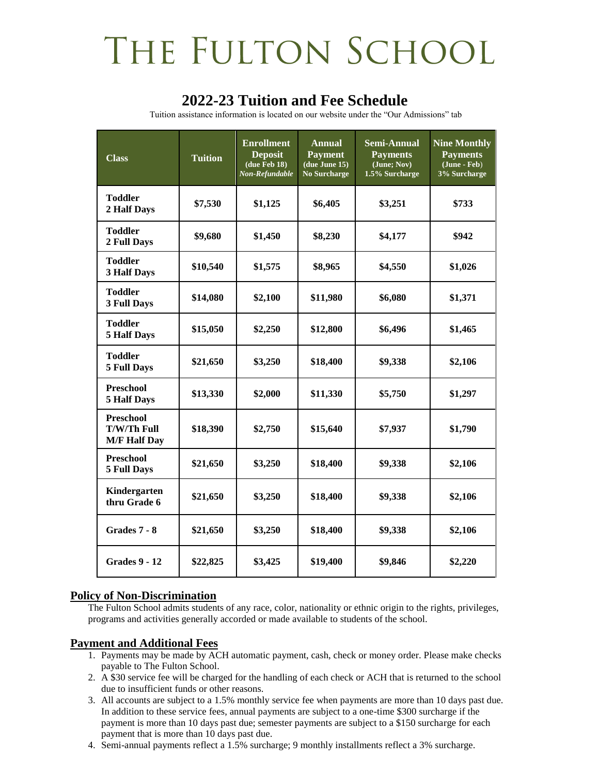# THE FULTON SCHOOL

### **2022-23 Tuition and Fee Schedule**

Tuition assistance information is located on our website under the "Our Admissions" tab

| <b>Class</b>                                                  | <b>Tuition</b> | <b>Enrollment</b><br><b>Deposit</b><br>(due Feb 18)<br>Non-Refundable | Annual<br><b>Payment</b><br>(due June 15)<br><b>No Surcharge</b> | Semi-Annual<br><b>Payments</b><br>(June; Nov)<br>1.5% Surcharge | <b>Nine Monthly</b><br><b>Payments</b><br>(June - Feb)<br>3% Surcharge |
|---------------------------------------------------------------|----------------|-----------------------------------------------------------------------|------------------------------------------------------------------|-----------------------------------------------------------------|------------------------------------------------------------------------|
| <b>Toddler</b><br>2 Half Days                                 | \$7,530        | \$1,125                                                               | \$6,405                                                          | \$3,251                                                         | \$733                                                                  |
| <b>Toddler</b><br>2 Full Days                                 | \$9,680        | \$1,450                                                               | \$8,230                                                          | \$4,177                                                         | \$942                                                                  |
| Toddler<br><b>3 Half Days</b>                                 | \$10,540       | \$1,575                                                               | \$8,965                                                          | \$4,550                                                         | \$1,026                                                                |
| <b>Toddler</b><br><b>3 Full Days</b>                          | \$14,080       | \$2,100                                                               | \$11,980                                                         | \$6,080                                                         | \$1,371                                                                |
| <b>Toddler</b><br><b>5 Half Days</b>                          | \$15,050       | \$2,250                                                               | \$12,800                                                         | \$6,496                                                         | \$1,465                                                                |
| <b>Toddler</b><br><b>5 Full Days</b>                          | \$21,650       | \$3,250                                                               | \$18,400                                                         | \$9,338                                                         | \$2,106                                                                |
| <b>Preschool</b><br><b>5 Half Days</b>                        | \$13,330       | \$2,000                                                               | \$11,330                                                         | \$5,750                                                         | \$1,297                                                                |
| <b>Preschool</b><br><b>T/W/Th Full</b><br><b>M/F Half Day</b> | \$18,390       | \$2,750                                                               | \$15,640                                                         | \$7,937                                                         | \$1,790                                                                |
| <b>Preschool</b><br><b>5 Full Days</b>                        | \$21,650       | \$3,250                                                               | \$18,400                                                         | \$9,338                                                         | \$2,106                                                                |
| Kindergarten<br>thru Grade 6                                  | \$21,650       | \$3,250                                                               | \$18,400                                                         | \$9,338                                                         | \$2,106                                                                |
| Grades 7 - 8                                                  | \$21,650       | \$3,250                                                               | \$18,400                                                         | \$9,338                                                         | \$2,106                                                                |
| <b>Grades 9 - 12</b>                                          | \$22,825       | \$3,425                                                               | \$19,400                                                         | \$9,846                                                         | \$2,220                                                                |

#### **Policy of Non-Discrimination**

The Fulton School admits students of any race, color, nationality or ethnic origin to the rights, privileges, programs and activities generally accorded or made available to students of the school.

### **Payment and Additional Fees**

- 1. Payments may be made by ACH automatic payment, cash, check or money order. Please make checks payable to The Fulton School.
- 2. A \$30 service fee will be charged for the handling of each check or ACH that is returned to the school due to insufficient funds or other reasons.
- 3. All accounts are subject to a 1.5% monthly service fee when payments are more than 10 days past due. In addition to these service fees, annual payments are subject to a one-time \$300 surcharge if the payment is more than 10 days past due; semester payments are subject to a \$150 surcharge for each payment that is more than 10 days past due.
- 4. Semi-annual payments reflect a 1.5% surcharge; 9 monthly installments reflect a 3% surcharge.